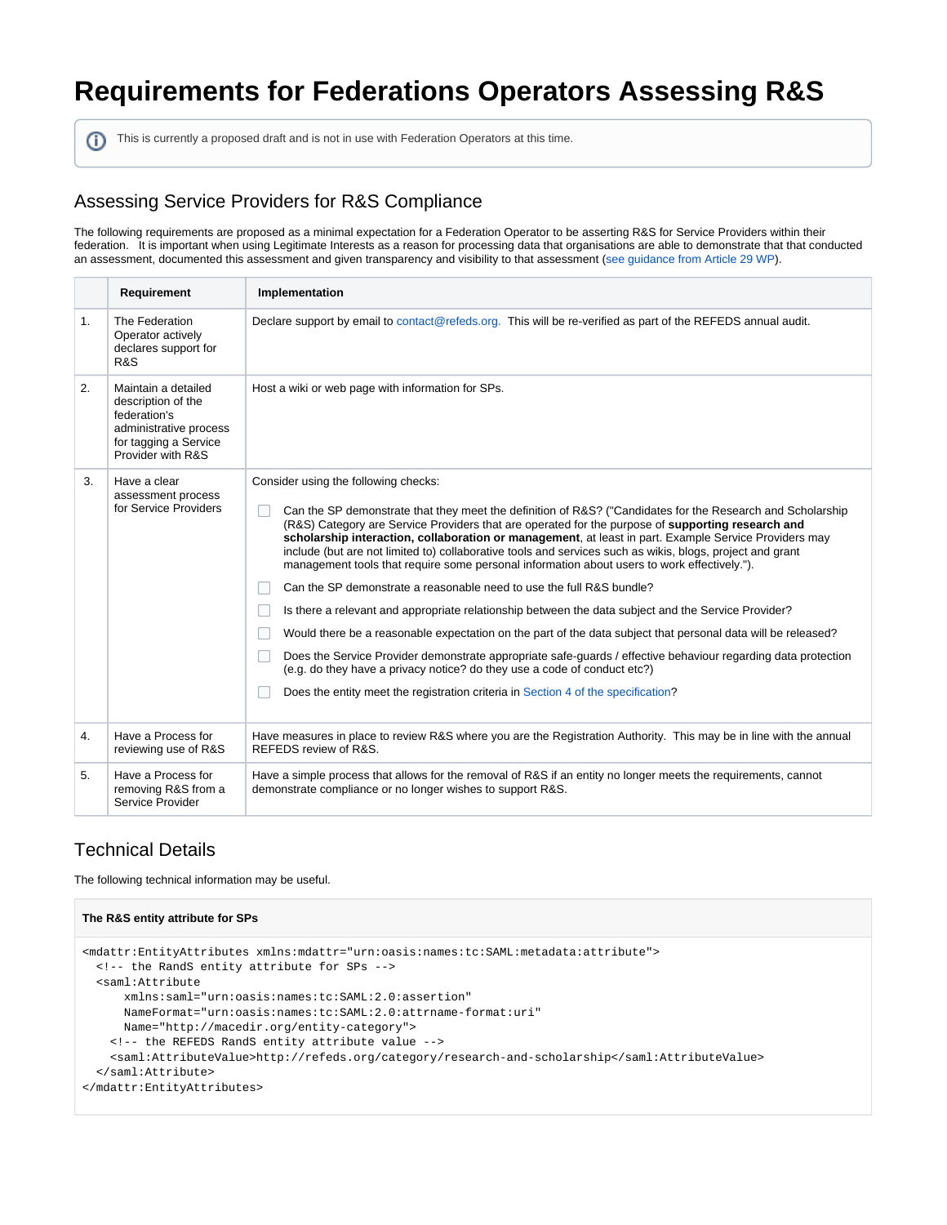# **Requirements for Federations Operators Assessing R&S**

This is currently a proposed draft and is not in use with Federation Operators at this time.

## Assessing Service Providers for R&S Compliance

The following requirements are proposed as a minimal expectation for a Federation Operator to be asserting R&S for Service Providers within their federation. It is important when using Legitimate Interests as a reason for processing data that organisations are able to demonstrate that that conducted an assessment, documented this assessment and given transparency and visibility to that assessment ([see guidance from Article 29 WP](https://ec.europa.eu/justice/article-29/documentation/opinion-recommendation/files/2014/wp217_en.pdf)).

|    | Requirement                                                                                                                       | Implementation                                                                                                                                                                                                                                                                                                                                                                                                                                                                                                                                                                                                                                                                                                                                                                                                                                                                                                                                                                                                                                                                                                                                                |
|----|-----------------------------------------------------------------------------------------------------------------------------------|---------------------------------------------------------------------------------------------------------------------------------------------------------------------------------------------------------------------------------------------------------------------------------------------------------------------------------------------------------------------------------------------------------------------------------------------------------------------------------------------------------------------------------------------------------------------------------------------------------------------------------------------------------------------------------------------------------------------------------------------------------------------------------------------------------------------------------------------------------------------------------------------------------------------------------------------------------------------------------------------------------------------------------------------------------------------------------------------------------------------------------------------------------------|
| 1. | The Federation<br>Operator actively<br>declares support for<br>R&S                                                                | Declare support by email to contact@refeds.org. This will be re-verified as part of the REFEDS annual audit.                                                                                                                                                                                                                                                                                                                                                                                                                                                                                                                                                                                                                                                                                                                                                                                                                                                                                                                                                                                                                                                  |
| 2. | Maintain a detailed<br>description of the<br>federation's<br>administrative process<br>for tagging a Service<br>Provider with R&S | Host a wiki or web page with information for SPs.                                                                                                                                                                                                                                                                                                                                                                                                                                                                                                                                                                                                                                                                                                                                                                                                                                                                                                                                                                                                                                                                                                             |
| 3. | Have a clear<br>assessment process<br>for Service Providers                                                                       | Consider using the following checks:<br>Can the SP demonstrate that they meet the definition of R&S? ("Candidates for the Research and Scholarship<br>(R&S) Category are Service Providers that are operated for the purpose of supporting research and<br>scholarship interaction, collaboration or management, at least in part. Example Service Providers may<br>include (but are not limited to) collaborative tools and services such as wikis, blogs, project and grant<br>management tools that require some personal information about users to work effectively.").<br>Can the SP demonstrate a reasonable need to use the full R&S bundle?<br>Is there a relevant and appropriate relationship between the data subject and the Service Provider?<br>Would there be a reasonable expectation on the part of the data subject that personal data will be released?<br>Does the Service Provider demonstrate appropriate safe-guards / effective behaviour regarding data protection<br>(e.g. do they have a privacy notice? do they use a code of conduct etc?)<br>Does the entity meet the registration criteria in Section 4 of the specification? |
| 4. | Have a Process for<br>reviewing use of R&S                                                                                        | Have measures in place to review R&S where you are the Registration Authority. This may be in line with the annual<br>REFEDS review of R&S.                                                                                                                                                                                                                                                                                                                                                                                                                                                                                                                                                                                                                                                                                                                                                                                                                                                                                                                                                                                                                   |
| 5. | Have a Process for<br>removing R&S from a<br>Service Provider                                                                     | Have a simple process that allows for the removal of R&S if an entity no longer meets the requirements, cannot<br>demonstrate compliance or no longer wishes to support R&S.                                                                                                                                                                                                                                                                                                                                                                                                                                                                                                                                                                                                                                                                                                                                                                                                                                                                                                                                                                                  |

## Technical Details

The following technical information may be useful.

```
The R&S entity attribute for SPs
<mdattr:EntityAttributes xmlns:mdattr="urn:oasis:names:tc:SAML:metadata:attribute">
  <!-- the RandS entity attribute for SPs -->
  <saml:Attribute
       xmlns:saml="urn:oasis:names:tc:SAML:2.0:assertion"
       NameFormat="urn:oasis:names:tc:SAML:2.0:attrname-format:uri"
      Name="http://macedir.org/entity-category">
    <!-- the REFEDS RandS entity attribute value -->
     <saml:AttributeValue>http://refeds.org/category/research-and-scholarship</saml:AttributeValue>
   </saml:Attribute>
</mdattr:EntityAttributes>
```